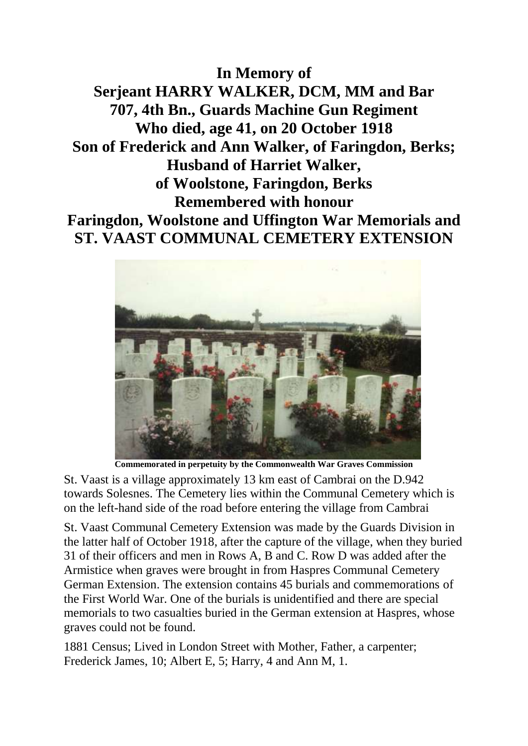**In Memory of Serjeant HARRY WALKER, DCM, MM and Bar 707, 4th Bn., Guards Machine Gun Regiment Who died, age 41, on 20 October 1918 Son of Frederick and Ann Walker, of Faringdon, Berks; Husband of Harriet Walker, of Woolstone, Faringdon, Berks Remembered with honour Faringdon, Woolstone and Uffington War Memorials and ST. VAAST COMMUNAL CEMETERY EXTENSION**



**Commemorated in perpetuity by the Commonwealth War Graves Commission** 

St. Vaast is a village approximately 13 km east of Cambrai on the D.942 towards Solesnes. The Cemetery lies within the Communal Cemetery which is on the left-hand side of the road before entering the village from Cambrai

St. Vaast Communal Cemetery Extension was made by the Guards Division in the latter half of October 1918, after the capture of the village, when they buried 31 of their officers and men in Rows A, B and C. Row D was added after the Armistice when graves were brought in from Haspres Communal Cemetery German Extension. The extension contains 45 burials and commemorations of the First World War. One of the burials is unidentified and there are special memorials to two casualties buried in the German extension at Haspres, whose graves could not be found.

1881 Census; Lived in London Street with Mother, Father, a carpenter; Frederick James, 10; Albert E, 5; Harry, 4 and Ann M, 1.